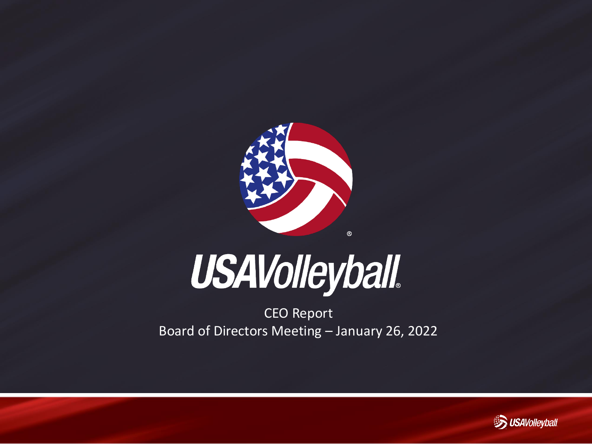

# **USAVolleyball.**

CEO Report Board of Directors Meeting – January 26, 2022

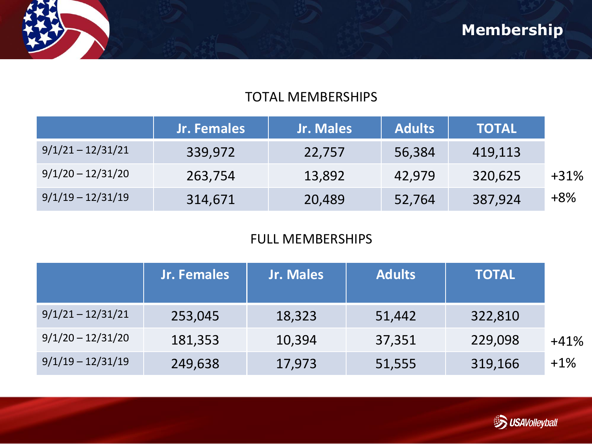

#### TOTAL MEMBERSHIPS

|                     | Jr. Females | Jr. Males | <b>Adults</b> | <b>TOTAL</b> |        |
|---------------------|-------------|-----------|---------------|--------------|--------|
| $9/1/21 - 12/31/21$ | 339,972     | 22,757    | 56,384        | 419,113      |        |
| $9/1/20 - 12/31/20$ | 263,754     | 13,892    | 42,979        | 320,625      | $+31%$ |
| $9/1/19 - 12/31/19$ | 314,671     | 20,489    | 52,764        | 387,924      | $+8%$  |

### FULL MEMBERSHIPS

|                     | Jr. Females | Jr. Males | <b>Adults</b> | <b>TOTAL</b> |        |
|---------------------|-------------|-----------|---------------|--------------|--------|
| $9/1/21 - 12/31/21$ | 253,045     | 18,323    | 51,442        | 322,810      |        |
| $9/1/20 - 12/31/20$ | 181,353     | 10,394    | 37,351        | 229,098      | $+41%$ |
| $9/1/19 - 12/31/19$ | 249,638     | 17,973    | 51,555        | 319,166      | $+1\%$ |

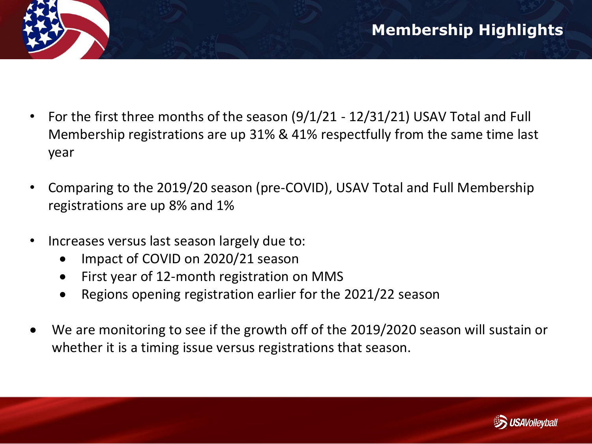- For the first three months of the season (9/1/21 12/31/21) USAV Total and Full Membership registrations are up 31% & 41% respectfully from the same time last year
- Comparing to the 2019/20 season (pre-COVID), USAV Total and Full Membership registrations are up 8% and 1%
- Increases versus last season largely due to:
	- Impact of COVID on 2020/21 season
	- First year of 12-month registration on MMS
	- Regions opening registration earlier for the 2021/22 season
- We are monitoring to see if the growth off of the 2019/2020 season will sustain or whether it is a timing issue versus registrations that season.

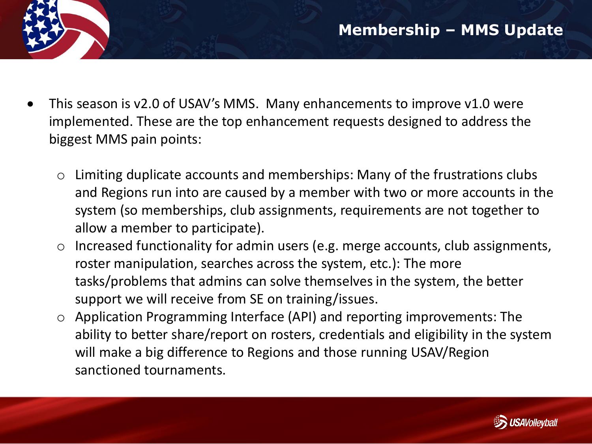- This season is v2.0 of USAV's MMS. Many enhancements to improve v1.0 were implemented. These are the top enhancement requests designed to address the biggest MMS pain points:
	- o Limiting duplicate accounts and memberships: Many of the frustrations clubs and Regions run into are caused by a member with two or more accounts in the system (so memberships, club assignments, requirements are not together to allow a member to participate).
	- o Increased functionality for admin users (e.g. merge accounts, club assignments, roster manipulation, searches across the system, etc.): The more tasks/problems that admins can solve themselves in the system, the better support we will receive from SE on training/issues.
	- o Application Programming Interface (API) and reporting improvements: The ability to better share/report on rosters, credentials and eligibility in the system will make a big difference to Regions and those running USAV/Region sanctioned tournaments.

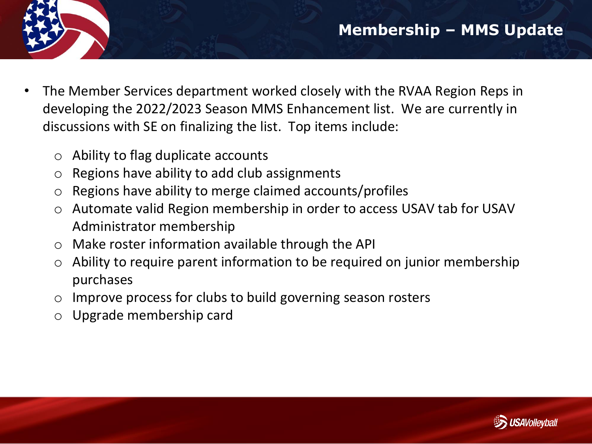- The Member Services department worked closely with the RVAA Region Reps in developing the 2022/2023 Season MMS Enhancement list. We are currently in discussions with SE on finalizing the list. Top items include:
	- o Ability to flag duplicate accounts
	- o Regions have ability to add club assignments
	- o Regions have ability to merge claimed accounts/profiles
	- o Automate valid Region membership in order to access USAV tab for USAV Administrator membership
	- o Make roster information available through the API
	- $\circ$  Ability to require parent information to be required on junior membership purchases
	- o Improve process for clubs to build governing season rosters
	- o Upgrade membership card

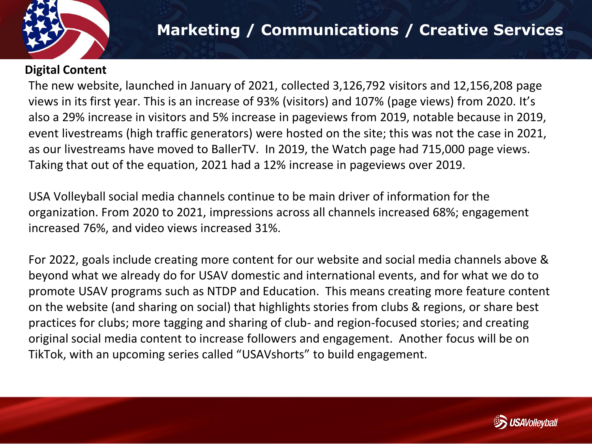

#### **Digital Content**

The new website, launched in January of 2021, collected 3,126,792 visitors and 12,156,208 page views in its first year. This is an increase of 93% (visitors) and 107% (page views) from 2020. It's also a 29% increase in visitors and 5% increase in pageviews from 2019, notable because in 2019, event livestreams (high traffic generators) were hosted on the site; this was not the case in 2021, as our livestreams have moved to BallerTV. In 2019, the Watch page had 715,000 page views. Taking that out of the equation, 2021 had a 12% increase in pageviews over 2019.

USA Volleyball social media channels continue to be main driver of information for the organization. From 2020 to 2021, impressions across all channels increased 68%; engagement increased 76%, and video views increased 31%.

For 2022, goals include creating more content for our website and social media channels above & beyond what we already do for USAV domestic and international events, and for what we do to promote USAV programs such as NTDP and Education. This means creating more feature content on the website (and sharing on social) that highlights stories from clubs & regions, or share best practices for clubs; more tagging and sharing of club- and region-focused stories; and creating original social media content to increase followers and engagement. Another focus will be on TikTok, with an upcoming series called "USAVshorts" to build engagement.

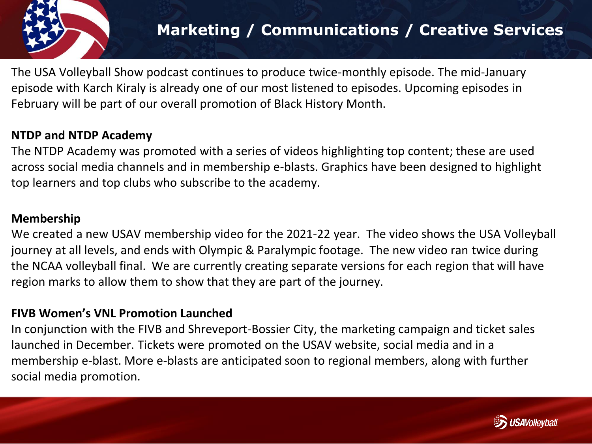

The USA Volleyball Show podcast continues to produce twice-monthly episode. The mid-January episode with Karch Kiraly is already one of our most listened to episodes. Upcoming episodes in February will be part of our overall promotion of Black History Month.

#### **NTDP and NTDP Academy**

The NTDP Academy was promoted with a series of videos highlighting top content; these are used across social media channels and in membership e-blasts. Graphics have been designed to highlight top learners and top clubs who subscribe to the academy.

#### **Membership**

We created a new USAV membership video for the 2021-22 year. The video shows the USA Volleyball journey at all levels, and ends with Olympic & Paralympic footage. The new video ran twice during the NCAA volleyball final. We are currently creating separate versions for each region that will have region marks to allow them to show that they are part of the journey.

#### **FIVB Women's VNL Promotion Launched**

In conjunction with the FIVB and Shreveport-Bossier City, the marketing campaign and ticket sales launched in December. Tickets were promoted on the USAV website, social media and in a membership e-blast. More e-blasts are anticipated soon to regional members, along with further social media promotion.

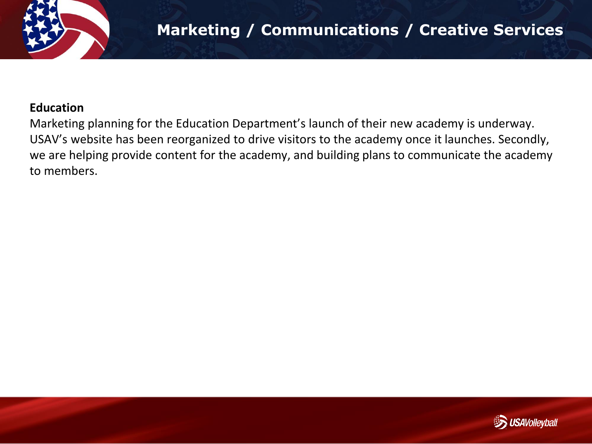

#### **Education**

Marketing planning for the Education Department's launch of their new academy is underway. USAV's website has been reorganized to drive visitors to the academy once it launches. Secondly, we are helping provide content for the academy, and building plans to communicate the academy to members.

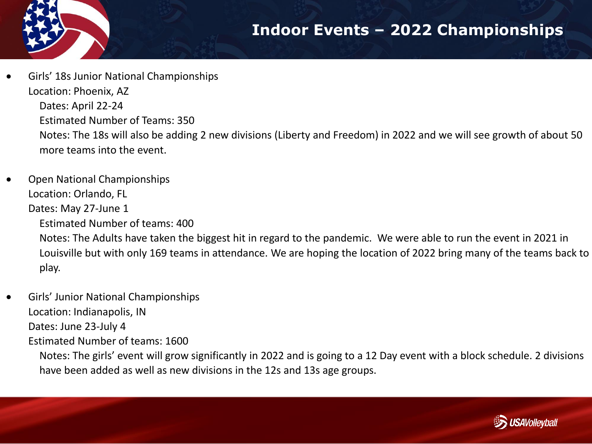## **Indoor Events – 2022 Championships**



- Girls' 18s Junior National Championships Location: Phoenix, AZ Dates: April 22-24 Estimated Number of Teams: 350 Notes: The 18s will also be adding 2 new divisions (Liberty and Freedom) in 2022 and we will see growth of about 50 more teams into the event.
- Open National Championships Location: Orlando, FL Dates: May 27-June 1

Estimated Number of teams: 400

Notes: The Adults have taken the biggest hit in regard to the pandemic. We were able to run the event in 2021 in Louisville but with only 169 teams in attendance. We are hoping the location of 2022 bring many of the teams back to play.

• Girls' Junior National Championships Location: Indianapolis, IN Dates: June 23-July 4 Estimated Number of teams: 1600

Notes: The girls' event will grow significantly in 2022 and is going to a 12 Day event with a block schedule. 2 divisions have been added as well as new divisions in the 12s and 13s age groups.

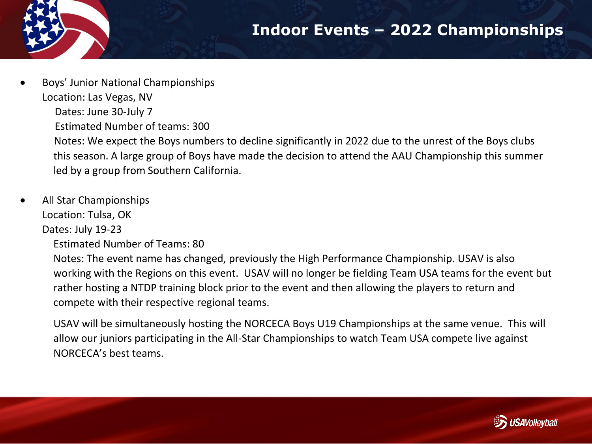## **Indoor Events – 2022 Championships**

- - Boys' Junior National Championships Location: Las Vegas, NV Dates: June 30-July 7 Estimated Number of teams: 300 Notes: We expect the Boys numbers to decline significantly in 2022 due to the unrest of the Boys clubs this season. A large group of Boys have made the decision to attend the AAU Championship this summer led by a group from Southern California.
- All Star Championships Location: Tulsa, OK

Dates: July 19-23

Estimated Number of Teams: 80

Notes: The event name has changed, previously the High Performance Championship. USAV is also working with the Regions on this event. USAV will no longer be fielding Team USA teams for the event but rather hosting a NTDP training block prior to the event and then allowing the players to return and compete with their respective regional teams.

USAV will be simultaneously hosting the NORCECA Boys U19 Championships at the same venue. This will allow our juniors participating in the All-Star Championships to watch Team USA compete live against NORCECA's best teams.

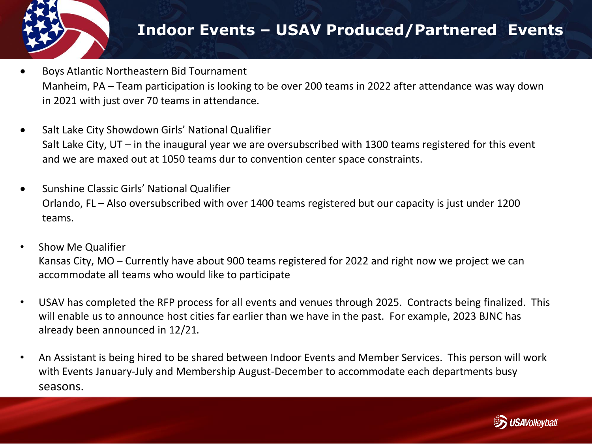

## **Indoor Events – USAV Produced/Partnered Events**

- Boys Atlantic Northeastern Bid Tournament Manheim, PA – Team participation is looking to be over 200 teams in 2022 after attendance was way down in 2021 with just over 70 teams in attendance.
- Salt Lake City Showdown Girls' National Qualifier Salt Lake City, UT – in the inaugural year we are oversubscribed with 1300 teams registered for this event and we are maxed out at 1050 teams dur to convention center space constraints.
- Sunshine Classic Girls' National Qualifier Orlando, FL – Also oversubscribed with over 1400 teams registered but our capacity is just under 1200 teams.
- Show Me Qualifier Kansas City, MO – Currently have about 900 teams registered for 2022 and right now we project we can accommodate all teams who would like to participate
- USAV has completed the RFP process for all events and venues through 2025. Contracts being finalized. This will enable us to announce host cities far earlier than we have in the past. For example, 2023 BJNC has already been announced in 12/21.
- An Assistant is being hired to be shared between Indoor Events and Member Services. This person will work with Events January-July and Membership August-December to accommodate each departments busy seasons.

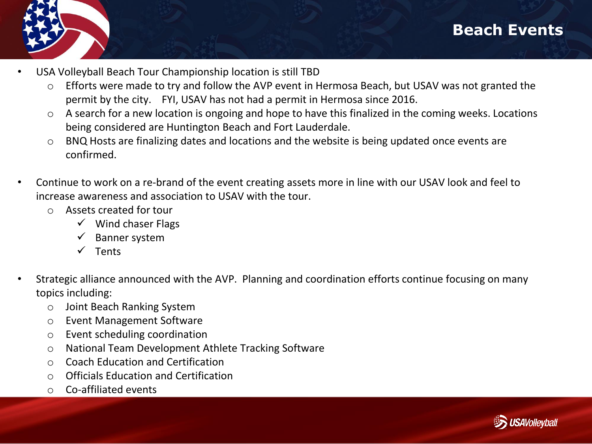



- USA Volleyball Beach Tour Championship location is still TBD
	- o Efforts were made to try and follow the AVP event in Hermosa Beach, but USAV was not granted the permit by the city. FYI, USAV has not had a permit in Hermosa since 2016.
	- o A search for a new location is ongoing and hope to have this finalized in the coming weeks. Locations being considered are Huntington Beach and Fort Lauderdale.
	- o BNQ Hosts are finalizing dates and locations and the website is being updated once events are confirmed.
- Continue to work on a re-brand of the event creating assets more in line with our USAV look and feel to increase awareness and association to USAV with the tour.
	- o Assets created for tour
		- $\checkmark$  Wind chaser Flags
		- $\checkmark$  Banner system
		- ✓ Tents
- Strategic alliance announced with the AVP. Planning and coordination efforts continue focusing on many topics including:
	- o Joint Beach Ranking System
	- o Event Management Software
	- o Event scheduling coordination
	- o National Team Development Athlete Tracking Software
	- o Coach Education and Certification
	- o Officials Education and Certification
	- o Co-affiliated events

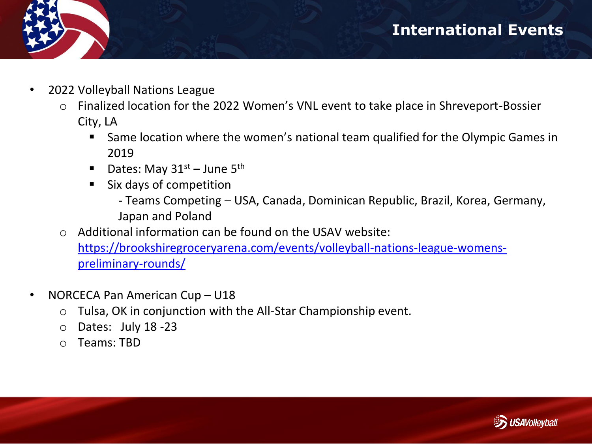

- 2022 Volleyball Nations League
	- o Finalized location for the 2022 Women's VNL event to take place in Shreveport-Bossier City, LA
		- Same location where the women's national team qualified for the Olympic Games in 2019
		- **•** Dates: May  $31^{st}$  June  $5^{th}$
		- Six days of competition
			- Teams Competing USA, Canada, Dominican Republic, Brazil, Korea, Germany, Japan and Poland
	- $\circ$  Additional information can be found on the USAV website: [https://brookshiregroceryarena.com/events/volleyball-nations-league-womens-](https://brookshiregroceryarena.com/events/volleyball-nations-league-womens-preliminary-rounds/)

preliminary-rounds/

- NORCECA Pan American Cup U18
	- o Tulsa, OK in conjunction with the All-Star Championship event.
	- o Dates: July 18 -23
	- o Teams: TBD

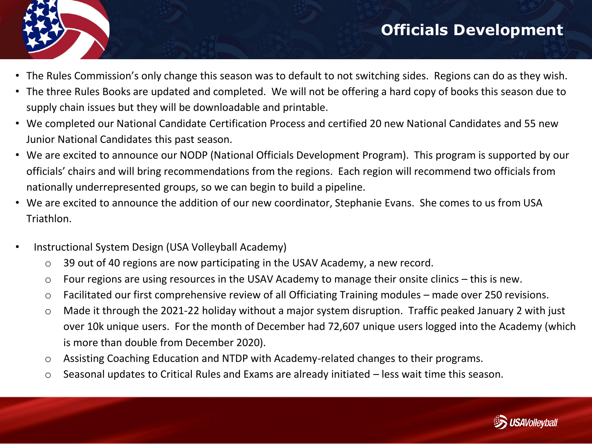## **Officials Development**



- The Rules Commission's only change this season was to default to not switching sides. Regions can do as they wish.
- The three Rules Books are updated and completed. We will not be offering a hard copy of books this season due to supply chain issues but they will be downloadable and printable.
- We completed our National Candidate Certification Process and certified 20 new National Candidates and 55 new Junior National Candidates this past season.
- We are excited to announce our NODP (National Officials Development Program). This program is supported by our officials' chairs and will bring recommendations from the regions. Each region will recommend two officials from nationally underrepresented groups, so we can begin to build a pipeline.
- We are excited to announce the addition of our new coordinator, Stephanie Evans. She comes to us from USA Triathlon.
- Instructional System Design (USA Volleyball Academy)
	- o 39 out of 40 regions are now participating in the USAV Academy, a new record.
	- o Four regions are using resources in the USAV Academy to manage their onsite clinics this is new.
	- o Facilitated our first comprehensive review of all Officiating Training modules made over 250 revisions.
	- o Made it through the 2021-22 holiday without a major system disruption. Traffic peaked January 2 with just over 10k unique users. For the month of December had 72,607 unique users logged into the Academy (which is more than double from December 2020).
	- o Assisting Coaching Education and NTDP with Academy-related changes to their programs.
	- o Seasonal updates to Critical Rules and Exams are already initiated less wait time this season.

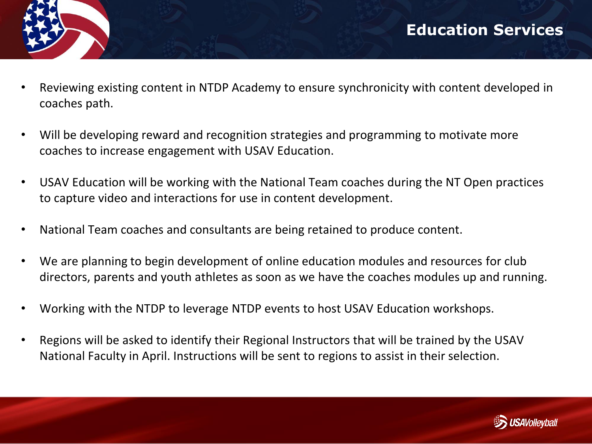- 
- Reviewing existing content in NTDP Academy to ensure synchronicity with content developed in coaches path.
- Will be developing reward and recognition strategies and programming to motivate more coaches to increase engagement with USAV Education.
- USAV Education will be working with the National Team coaches during the NT Open practices to capture video and interactions for use in content development.
- National Team coaches and consultants are being retained to produce content.
- We are planning to begin development of online education modules and resources for club directors, parents and youth athletes as soon as we have the coaches modules up and running.
- Working with the NTDP to leverage NTDP events to host USAV Education workshops.
- Regions will be asked to identify their Regional Instructors that will be trained by the USAV National Faculty in April. Instructions will be sent to regions to assist in their selection.

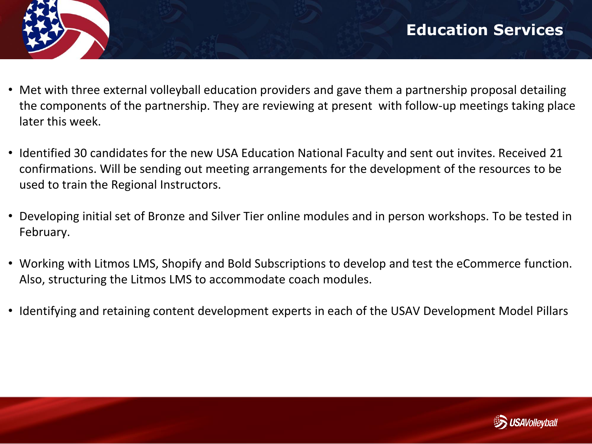- Met with three external volleyball education providers and gave them a partnership proposal detailing the components of the partnership. They are reviewing at present with follow-up meetings taking place later this week.
- Identified 30 candidates for the new USA Education National Faculty and sent out invites. Received 21 confirmations. Will be sending out meeting arrangements for the development of the resources to be used to train the Regional Instructors.
- Developing initial set of Bronze and Silver Tier online modules and in person workshops. To be tested in February.
- Working with Litmos LMS, Shopify and Bold Subscriptions to develop and test the eCommerce function. Also, structuring the Litmos LMS to accommodate coach modules.
- Identifying and retaining content development experts in each of the USAV Development Model Pillars

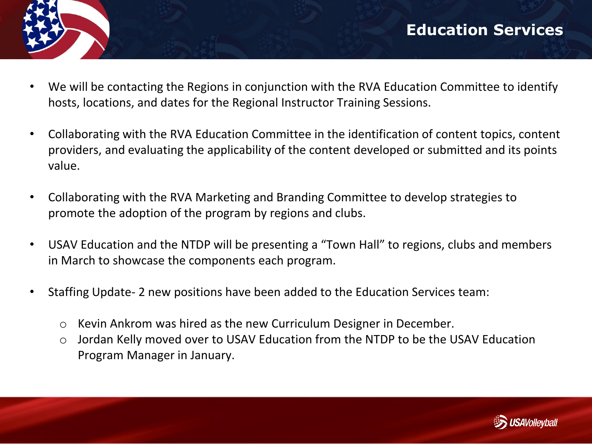

- We will be contacting the Regions in conjunction with the RVA Education Committee to identify hosts, locations, and dates for the Regional Instructor Training Sessions.
- Collaborating with the RVA Education Committee in the identification of content topics, content providers, and evaluating the applicability of the content developed or submitted and its points value.
- Collaborating with the RVA Marketing and Branding Committee to develop strategies to promote the adoption of the program by regions and clubs.
- USAV Education and the NTDP will be presenting a "Town Hall" to regions, clubs and members in March to showcase the components each program.
- Staffing Update- 2 new positions have been added to the Education Services team:
	- o Kevin Ankrom was hired as the new Curriculum Designer in December.
	- o Jordan Kelly moved over to USAV Education from the NTDP to be the USAV Education Program Manager in January.

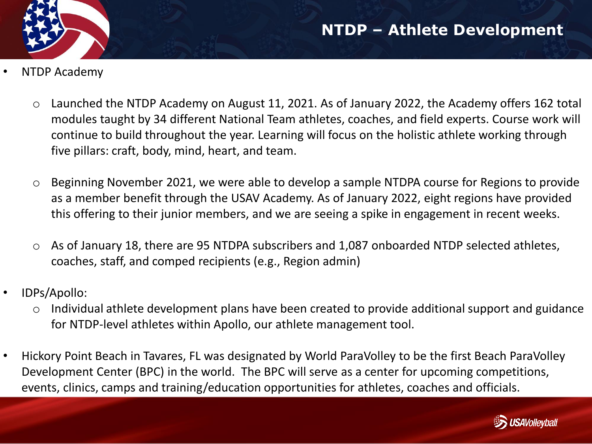

- NTDP Academy
	- o Launched the NTDP Academy on August 11, 2021. As of January 2022, the Academy offers 162 total modules taught by 34 different National Team athletes, coaches, and field experts. Course work will continue to build throughout the year. Learning will focus on the holistic athlete working through five pillars: craft, body, mind, heart, and team.
	- o Beginning November 2021, we were able to develop a sample NTDPA course for Regions to provide as a member benefit through the USAV Academy. As of January 2022, eight regions have provided this offering to their junior members, and we are seeing a spike in engagement in recent weeks.
	- o As of January 18, there are 95 NTDPA subscribers and 1,087 onboarded NTDP selected athletes, coaches, staff, and comped recipients (e.g., Region admin)
- IDPs/Apollo:
	- Individual athlete development plans have been created to provide additional support and guidance for NTDP-level athletes within Apollo, our athlete management tool.
- Hickory Point Beach in Tavares, FL was designated by World ParaVolley to be the first Beach ParaVolley Development Center (BPC) in the world. The BPC will serve as a center for upcoming competitions, events, clinics, camps and training/education opportunities for athletes, coaches and officials.

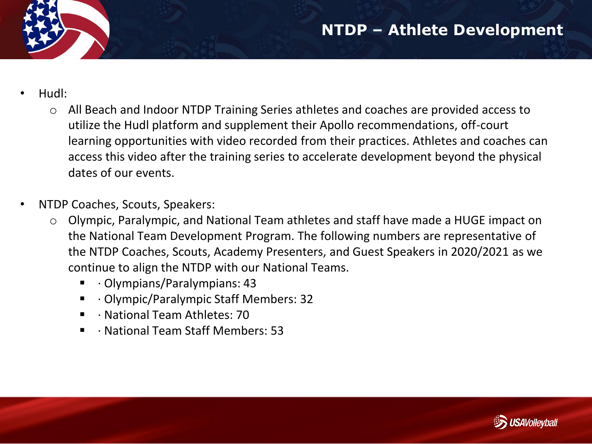- Hudl:
	- o All Beach and Indoor NTDP Training Series athletes and coaches are provided access to utilize the Hudl platform and supplement their Apollo recommendations, off-court learning opportunities with video recorded from their practices. Athletes and coaches can access this video after the training series to accelerate development beyond the physical dates of our events.
- NTDP Coaches, Scouts, Speakers:
	- o Olympic, Paralympic, and National Team athletes and staff have made a HUGE impact on the National Team Development Program. The following numbers are representative of the NTDP Coaches, Scouts, Academy Presenters, and Guest Speakers in 2020/2021 as we continue to align the NTDP with our National Teams.
		- · Olympians/Paralympians: 43
		- · Olympic/Paralympic Staff Members: 32
		- · National Team Athletes: 70
		- · National Team Staff Members: 53

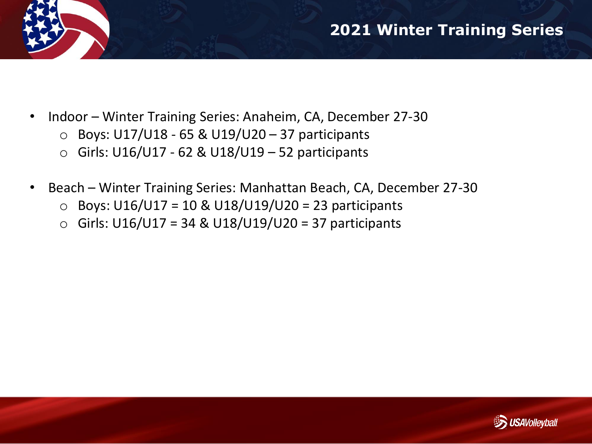

- Indoor Winter Training Series: Anaheim, CA, December 27-30
	- $\circ$  Boys: U17/U18 65 & U19/U20 37 participants
	- $\circ$  Girls: U16/U17 62 & U18/U19 52 participants
- Beach Winter Training Series: Manhattan Beach, CA, December 27-30
	- o Boys: U16/U17 = 10 & U18/U19/U20 = 23 participants
	- o Girls: U16/U17 = 34 & U18/U19/U20 = 37 participants

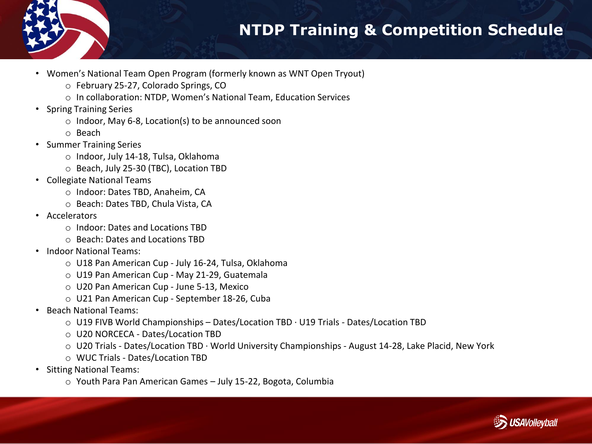

## **NTDP Training & Competition Schedule**

- Women's National Team Open Program (formerly known as WNT Open Tryout)
	- o February 25-27, Colorado Springs, CO
	- o In collaboration: NTDP, Women's National Team, Education Services
- Spring Training Series
	- o Indoor, May 6-8, Location(s) to be announced soon
	- o Beach
- Summer Training Series
	- o Indoor, July 14-18, Tulsa, Oklahoma
	- o Beach, July 25-30 (TBC), Location TBD
- Collegiate National Teams
	- o Indoor: Dates TBD, Anaheim, CA
	- o Beach: Dates TBD, Chula Vista, CA
- Accelerators
	- o Indoor: Dates and Locations TBD
	- o Beach: Dates and Locations TBD
- Indoor National Teams:
	- o U18 Pan American Cup July 16-24, Tulsa, Oklahoma
	- o U19 Pan American Cup May 21-29, Guatemala
	- o U20 Pan American Cup June 5-13, Mexico
	- o U21 Pan American Cup September 18-26, Cuba
- Beach National Teams:
	- $\circ$  U19 FIVB World Championships Dates/Location TBD  $\cdot$  U19 Trials Dates/Location TBD
	- o U20 NORCECA Dates/Location TBD
	- $\circ$  U20 Trials Dates/Location TBD · World University Championships August 14-28, Lake Placid, New York
	- o WUC Trials Dates/Location TBD
- Sitting National Teams:
	- o Youth Para Pan American Games July 15-22, Bogota, Columbia

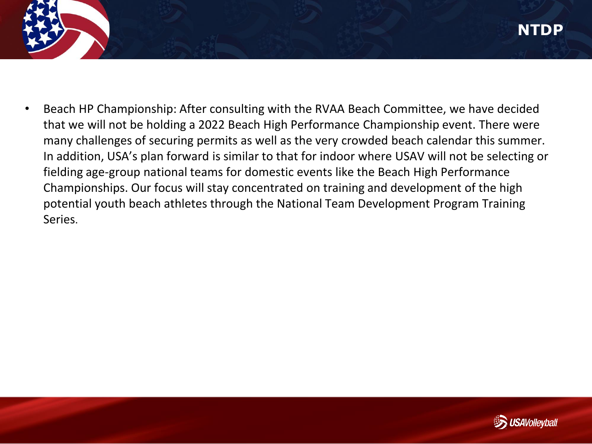• Beach HP Championship: After consulting with the RVAA Beach Committee, we have decided that we will not be holding a 2022 Beach High Performance Championship event. There were many challenges of securing permits as well as the very crowded beach calendar this summer. In addition, USA's plan forward is similar to that for indoor where USAV will not be selecting or fielding age-group national teams for domestic events like the Beach High Performance Championships. Our focus will stay concentrated on training and development of the high potential youth beach athletes through the National Team Development Program Training Series.

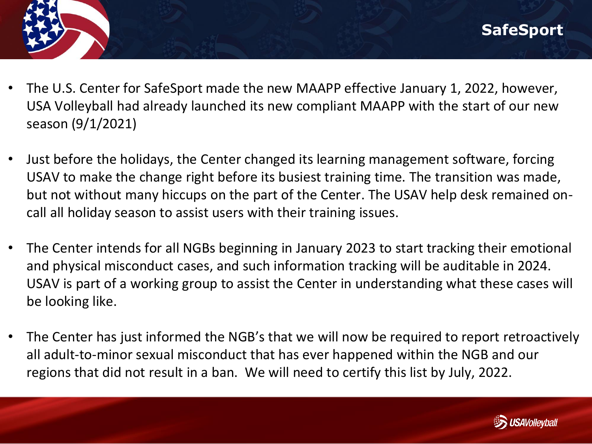- The U.S. Center for SafeSport made the new MAAPP effective January 1, 2022, however, USA Volleyball had already launched its new compliant MAAPP with the start of our new season (9/1/2021)
- Just before the holidays, the Center changed its learning management software, forcing USAV to make the change right before its busiest training time. The transition was made, but not without many hiccups on the part of the Center. The USAV help desk remained oncall all holiday season to assist users with their training issues.
- The Center intends for all NGBs beginning in January 2023 to start tracking their emotional and physical misconduct cases, and such information tracking will be auditable in 2024. USAV is part of a working group to assist the Center in understanding what these cases will be looking like.
- The Center has just informed the NGB's that we will now be required to report retroactively all adult-to-minor sexual misconduct that has ever happened within the NGB and our regions that did not result in a ban. We will need to certify this list by July, 2022.

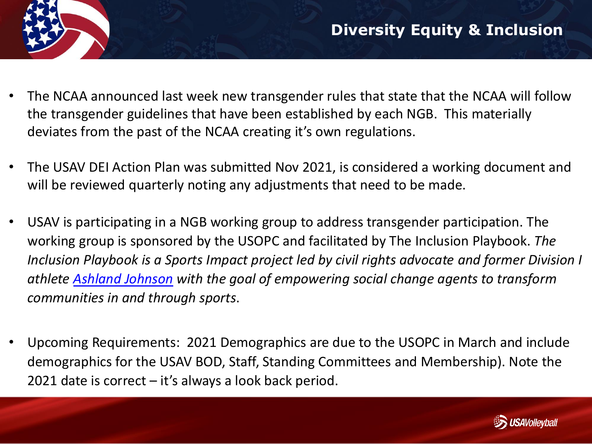- The NCAA announced last week new transgender rules that state that the NCAA will follow the transgender guidelines that have been established by each NGB. This materially deviates from the past of the NCAA creating it's own regulations.
- The USAV DEI Action Plan was submitted Nov 2021, is considered a working document and will be reviewed quarterly noting any adjustments that need to be made.
- USAV is participating in a NGB working group to address transgender participation. The working group is sponsored by the USOPC and facilitated by The Inclusion Playbook. *The Inclusion Playbook is a Sports Impact project led by civil rights advocate and former Division I athlete [Ashland Johnson](https://www.inclusionplaybook.com/leadership) with the goal of empowering social change agents to transform communities in and through sports*.
- Upcoming Requirements: 2021 Demographics are due to the USOPC in March and include demographics for the USAV BOD, Staff, Standing Committees and Membership). Note the 2021 date is correct – it's always a look back period.

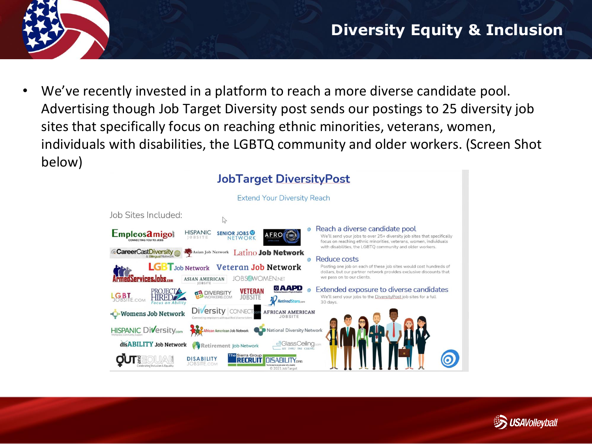

We've recently invested in a platform to reach a more diverse candidate pool. Advertising though Job Target Diversity post sends our postings to 25 diversity job sites that specifically focus on reaching ethnic minorities, veterans, women, individuals with disabilities, the LGBTQ community and older workers. (Screen Shot below)

#### **JobTarget DiversityPost**



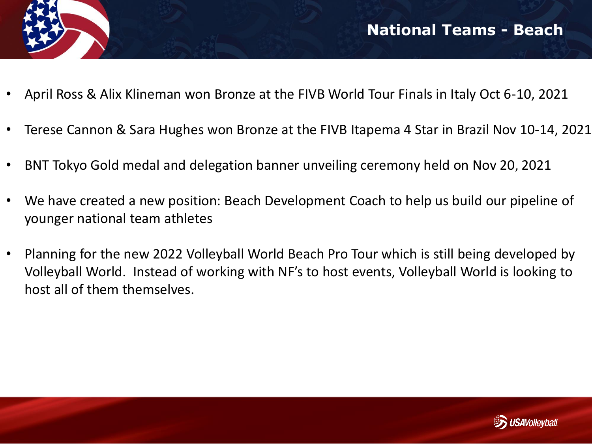

- April Ross & Alix Klineman won Bronze at the FIVB World Tour Finals in Italy Oct 6-10, 2021
- Terese Cannon & Sara Hughes won Bronze at the FIVB Itapema 4 Star in Brazil Nov 10-14, 2021
- BNT Tokyo Gold medal and delegation banner unveiling ceremony held on Nov 20, 2021
- We have created a new position: Beach Development Coach to help us build our pipeline of younger national team athletes
- Planning for the new 2022 Volleyball World Beach Pro Tour which is still being developed by Volleyball World. Instead of working with NF's to host events, Volleyball World is looking to host all of them themselves.

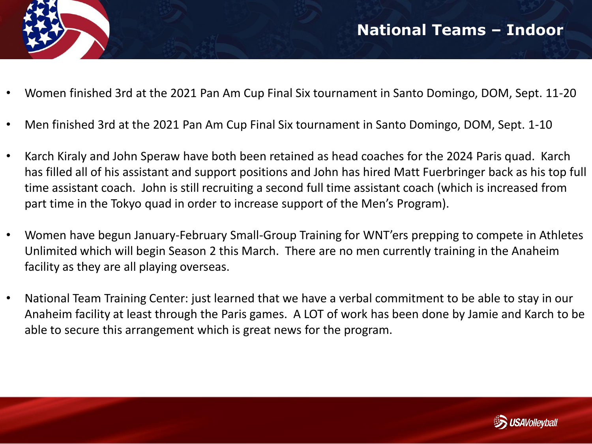

- Women finished 3rd at the 2021 Pan Am Cup Final Six tournament in Santo Domingo, DOM, Sept. 11-20
- Men finished 3rd at the 2021 Pan Am Cup Final Six tournament in Santo Domingo, DOM, Sept. 1-10
- Karch Kiraly and John Speraw have both been retained as head coaches for the 2024 Paris quad. Karch has filled all of his assistant and support positions and John has hired Matt Fuerbringer back as his top full time assistant coach. John is still recruiting a second full time assistant coach (which is increased from part time in the Tokyo quad in order to increase support of the Men's Program).
- Women have begun January-February Small-Group Training for WNT'ers prepping to compete in Athletes Unlimited which will begin Season 2 this March. There are no men currently training in the Anaheim facility as they are all playing overseas.
- National Team Training Center: just learned that we have a verbal commitment to be able to stay in our Anaheim facility at least through the Paris games. A LOT of work has been done by Jamie and Karch to be able to secure this arrangement which is great news for the program.

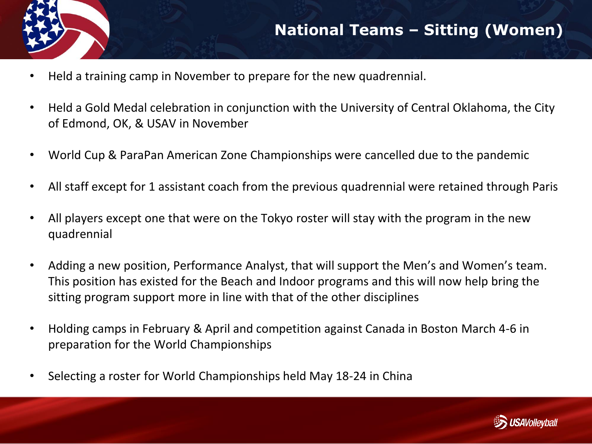

- Held a training camp in November to prepare for the new quadrennial.
- Held a Gold Medal celebration in conjunction with the University of Central Oklahoma, the City of Edmond, OK, & USAV in November
- World Cup & ParaPan American Zone Championships were cancelled due to the pandemic
- All staff except for 1 assistant coach from the previous quadrennial were retained through Paris
- All players except one that were on the Tokyo roster will stay with the program in the new quadrennial
- Adding a new position, Performance Analyst, that will support the Men's and Women's team. This position has existed for the Beach and Indoor programs and this will now help bring the sitting program support more in line with that of the other disciplines
- Holding camps in February & April and competition against Canada in Boston March 4-6 in preparation for the World Championships
- Selecting a roster for World Championships held May 18-24 in China

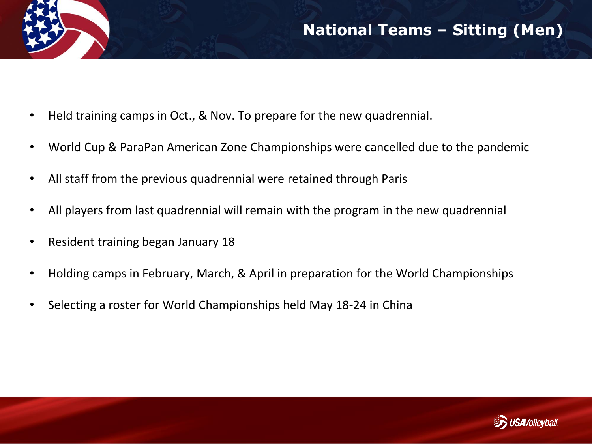- Held training camps in Oct., & Nov. To prepare for the new quadrennial.
- World Cup & ParaPan American Zone Championships were cancelled due to the pandemic
- All staff from the previous quadrennial were retained through Paris
- All players from last quadrennial will remain with the program in the new quadrennial
- Resident training began January 18
- Holding camps in February, March, & April in preparation for the World Championships
- Selecting a roster for World Championships held May 18-24 in China

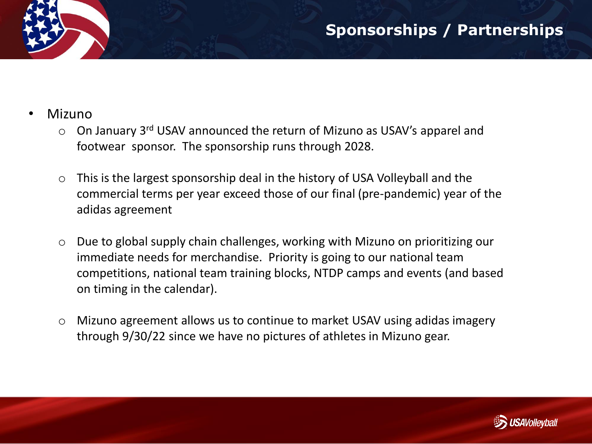- Mizuno
	- $\circ$  On January 3<sup>rd</sup> USAV announced the return of Mizuno as USAV's apparel and footwear sponsor. The sponsorship runs through 2028.
	- o This is the largest sponsorship deal in the history of USA Volleyball and the commercial terms per year exceed those of our final (pre-pandemic) year of the adidas agreement
	- o Due to global supply chain challenges, working with Mizuno on prioritizing our immediate needs for merchandise. Priority is going to our national team competitions, national team training blocks, NTDP camps and events (and based on timing in the calendar).
	- o Mizuno agreement allows us to continue to market USAV using adidas imagery through 9/30/22 since we have no pictures of athletes in Mizuno gear.

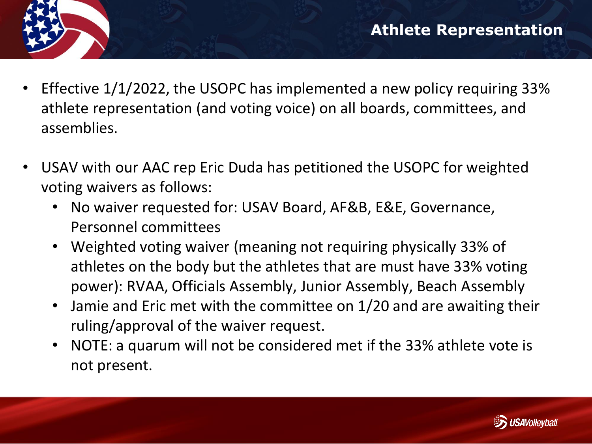- 
- Effective 1/1/2022, the USOPC has implemented a new policy requiring 33% athlete representation (and voting voice) on all boards, committees, and assemblies.
- USAV with our AAC rep Eric Duda has petitioned the USOPC for weighted voting waivers as follows:
	- No waiver requested for: USAV Board, AF&B, E&E, Governance, Personnel committees
	- Weighted voting waiver (meaning not requiring physically 33% of athletes on the body but the athletes that are must have 33% voting power): RVAA, Officials Assembly, Junior Assembly, Beach Assembly
	- Jamie and Eric met with the committee on 1/20 and are awaiting their ruling/approval of the waiver request.
	- NOTE: a quarum will not be considered met if the 33% athlete vote is not present.